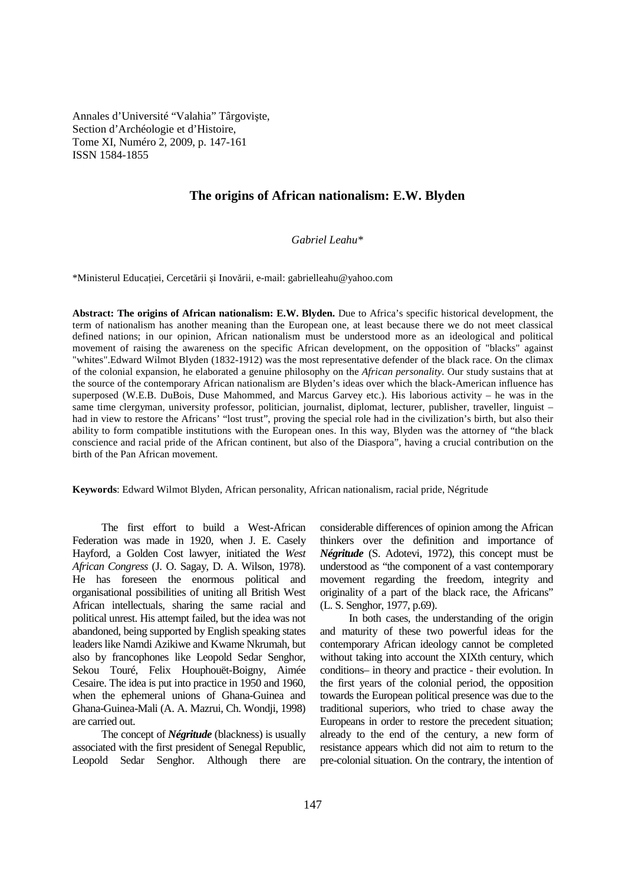Annales d'Université "Valahia" Târgovişte, Section d'Archéologie et d'Histoire, Tome XI, Numéro 2, 2009, p. 147-161 ISSN 1584-1855

## **The origins of African nationalism: E.W. Blyden**

*Gabriel Leahu\** 

\*Ministerul Educației, Cercetării și Inovării, e-mail: gabrielleahu@yahoo.com

**Abstract: The origins of African nationalism: E.W. Blyden.** Due to Africa's specific historical development, the term of nationalism has another meaning than the European one, at least because there we do not meet classical defined nations; in our opinion, African nationalism must be understood more as an ideological and political movement of raising the awareness on the specific African development, on the opposition of "blacks" against "whites".Edward Wilmot Blyden (1832-1912) was the most representative defender of the black race. On the climax of the colonial expansion, he elaborated a genuine philosophy on the *African personality.* Our study sustains that at the source of the contemporary African nationalism are Blyden's ideas over which the black-American influence has superposed (W.E.B. DuBois, Duse Mahommed, and Marcus Garvey etc.). His laborious activity – he was in the same time clergyman, university professor, politician, journalist, diplomat, lecturer, publisher, traveller, linguist – had in view to restore the Africans' "lost trust", proving the special role had in the civilization's birth, but also their ability to form compatible institutions with the European ones. In this way, Blyden was the attorney of "the black conscience and racial pride of the African continent, but also of the Diaspora", having a crucial contribution on the birth of the Pan African movement.

**Keywords**: Edward Wilmot Blyden, African personality, African nationalism, racial pride, Négritude

The first effort to build a West-African Federation was made in 1920, when J. E. Casely Hayford, a Golden Cost lawyer, initiated the *West African Congress* (J. O. Sagay, D. A. Wilson, 1978). He has foreseen the enormous political and organisational possibilities of uniting all British West African intellectuals, sharing the same racial and political unrest. His attempt failed, but the idea was not abandoned, being supported by English speaking states leaders like Namdi Azikiwe and Kwame Nkrumah, but also by francophones like Leopold Sedar Senghor, Sekou Touré, Felix Houphouët-Boigny, Aimée Cesaire. The idea is put into practice in 1950 and 1960, when the ephemeral unions of Ghana-Guinea and Ghana-Guinea-Mali (A. A. Mazrui, Ch. Wondji, 1998) are carried out.

The concept of *Négritude* (blackness) is usually associated with the first president of Senegal Republic, Leopold Sedar Senghor. Although there are

considerable differences of opinion among the African thinkers over the definition and importance of *Négritude* (S. Adotevi, 1972), this concept must be understood as "the component of a vast contemporary movement regarding the freedom, integrity and originality of a part of the black race, the Africans" (L. S. Senghor, 1977, p.69).

In both cases, the understanding of the origin and maturity of these two powerful ideas for the contemporary African ideology cannot be completed without taking into account the XIXth century, which conditions– in theory and practice - their evolution. In the first years of the colonial period, the opposition towards the European political presence was due to the traditional superiors, who tried to chase away the Europeans in order to restore the precedent situation; already to the end of the century, a new form of resistance appears which did not aim to return to the pre-colonial situation. On the contrary, the intention of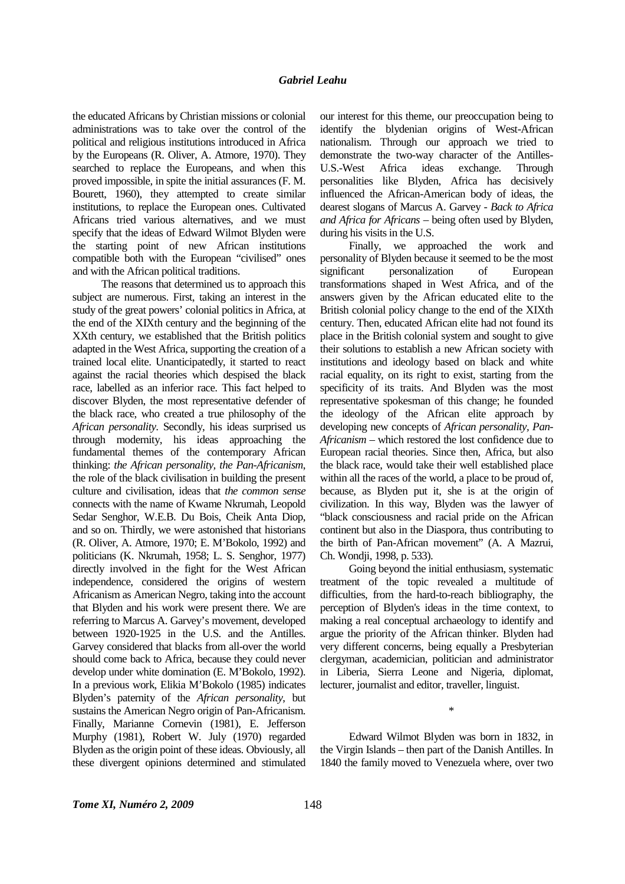the educated Africans by Christian missions or colonial administrations was to take over the control of the political and religious institutions introduced in Africa by the Europeans (R. Oliver, A. Atmore, 1970). They searched to replace the Europeans, and when this proved impossible, in spite the initial assurances (F. M. Bourett, 1960), they attempted to create similar institutions, to replace the European ones. Cultivated Africans tried various alternatives, and we must specify that the ideas of Edward Wilmot Blyden were the starting point of new African institutions compatible both with the European "civilised" ones and with the African political traditions.

The reasons that determined us to approach this subject are numerous. First, taking an interest in the study of the great powers' colonial politics in Africa, at the end of the XIXth century and the beginning of the XXth century, we established that the British politics adapted in the West Africa, supporting the creation of a trained local elite. Unanticipatedly, it started to react against the racial theories which despised the black race, labelled as an inferior race. This fact helped to discover Blyden, the most representative defender of the black race, who created a true philosophy of the *African personality*. Secondly, his ideas surprised us through modernity, his ideas approaching the fundamental themes of the contemporary African thinking: *the African personality, the Pan-Africanism*, the role of the black civilisation in building the present culture and civilisation, ideas that *the common sense* connects with the name of Kwame Nkrumah, Leopold Sedar Senghor, W.E.B. Du Bois, Cheik Anta Diop, and so on. Thirdly, we were astonished that historians (R. Oliver, A. Atmore, 1970; E. M'Bokolo, 1992) and politicians (K. Nkrumah, 1958; L. S. Senghor, 1977) directly involved in the fight for the West African independence, considered the origins of western Africanism as American Negro, taking into the account that Blyden and his work were present there. We are referring to Marcus A. Garvey's movement, developed between 1920-1925 in the U.S. and the Antilles. Garvey considered that blacks from all-over the world should come back to Africa, because they could never develop under white domination (E. M'Bokolo, 1992). In a previous work, Elikia M'Bokolo (1985) indicates Blyden's paternity of the *African personality*, but sustains the American Negro origin of Pan-Africanism. Finally, Marianne Cornevin (1981), E. Jefferson Murphy (1981), Robert W. July (1970) regarded Blyden as the origin point of these ideas. Obviously, all these divergent opinions determined and stimulated

our interest for this theme, our preoccupation being to identify the blydenian origins of West-African nationalism. Through our approach we tried to demonstrate the two-way character of the Antilles-U.S.-West Africa ideas exchange. Through personalities like Blyden, Africa has decisively influenced the African-American body of ideas, the dearest slogans of Marcus A. Garvey - *Back to Africa and Africa for Africans* – being often used by Blyden, during his visits in the U.S.

Finally, we approached the work and personality of Blyden because it seemed to be the most significant personalization of European transformations shaped in West Africa, and of the answers given by the African educated elite to the British colonial policy change to the end of the XIXth century. Then, educated African elite had not found its place in the British colonial system and sought to give their solutions to establish a new African society with institutions and ideology based on black and white racial equality, on its right to exist, starting from the specificity of its traits. And Blyden was the most representative spokesman of this change; he founded the ideology of the African elite approach by developing new concepts of *African personality, Pan-Africanism* – which restored the lost confidence due to European racial theories. Since then, Africa, but also the black race, would take their well established place within all the races of the world, a place to be proud of, because, as Blyden put it, she is at the origin of civilization. In this way, Blyden was the lawyer of "black consciousness and racial pride on the African continent but also in the Diaspora, thus contributing to the birth of Pan-African movement" (A. A Mazrui, Ch. Wondji, 1998, p. 533).

Going beyond the initial enthusiasm, systematic treatment of the topic revealed a multitude of difficulties, from the hard-to-reach bibliography, the perception of Blyden's ideas in the time context, to making a real conceptual archaeology to identify and argue the priority of the African thinker. Blyden had very different concerns, being equally a Presbyterian clergyman, academician, politician and administrator in Liberia, Sierra Leone and Nigeria, diplomat, lecturer, journalist and editor, traveller, linguist.

Edward Wilmot Blyden was born in 1832, in the Virgin Islands – then part of the Danish Antilles. In 1840 the family moved to Venezuela where, over two

\*

*Tome XI, Numéro 2, 2009* 148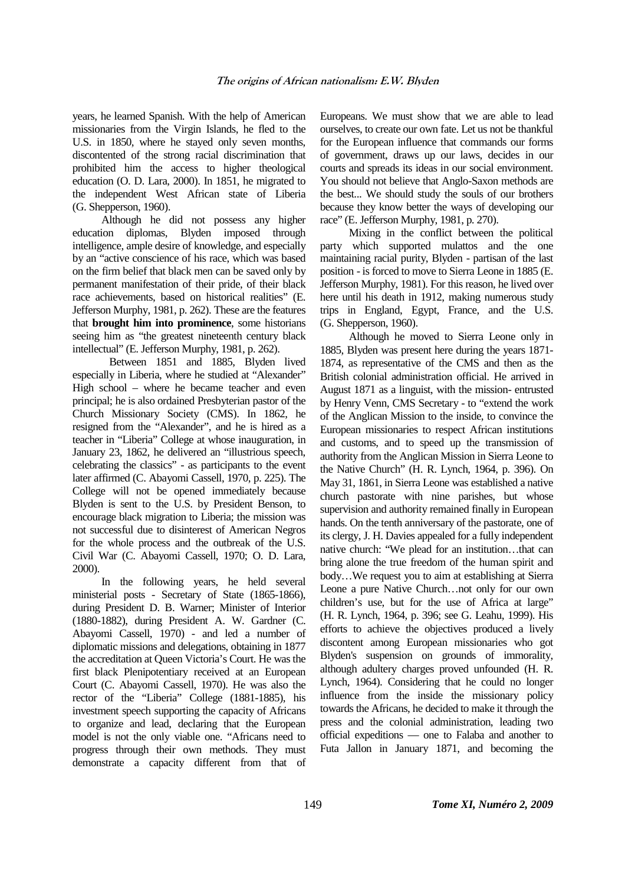years, he learned Spanish. With the help of American missionaries from the Virgin Islands, he fled to the U.S. in 1850, where he stayed only seven months, discontented of the strong racial discrimination that prohibited him the access to higher theological education (O. D. Lara, 2000). In 1851, he migrated to the independent West African state of Liberia (G. Shepperson, 1960).

Although he did not possess any higher education diplomas, Blyden imposed through intelligence, ample desire of knowledge, and especially by an "active conscience of his race, which was based on the firm belief that black men can be saved only by permanent manifestation of their pride, of their black race achievements, based on historical realities" (E. Jefferson Murphy, 1981, p. 262). These are the features that **brought him into prominence**, some historians seeing him as "the greatest nineteenth century black intellectual" (E. Jefferson Murphy, 1981, p. 262).

 Between 1851 and 1885, Blyden lived especially in Liberia, where he studied at "Alexander" High school – where he became teacher and even principal; he is also ordained Presbyterian pastor of the Church Missionary Society (CMS). In 1862, he resigned from the "Alexander", and he is hired as a teacher in "Liberia" College at whose inauguration, in January 23, 1862, he delivered an "illustrious speech, celebrating the classics" - as participants to the event later affirmed (C. Abayomi Cassell, 1970, p. 225). The College will not be opened immediately because Blyden is sent to the U.S. by President Benson, to encourage black migration to Liberia; the mission was not successful due to disinterest of American Negros for the whole process and the outbreak of the U.S. Civil War (C. Abayomi Cassell, 1970; O. D. Lara, 2000).

In the following years, he held several ministerial posts - Secretary of State (1865-1866), during President D. B. Warner; Minister of Interior (1880-1882), during President A. W. Gardner (C. Abayomi Cassell, 1970) - and led a number of diplomatic missions and delegations, obtaining in 1877 the accreditation at Queen Victoria's Court. He was the first black Plenipotentiary received at an European Court (C. Abayomi Cassell, 1970). He was also the rector of the "Liberia" College (1881-1885), his investment speech supporting the capacity of Africans to organize and lead, declaring that the European model is not the only viable one. "Africans need to progress through their own methods. They must demonstrate a capacity different from that of Europeans. We must show that we are able to lead ourselves, to create our own fate. Let us not be thankful for the European influence that commands our forms of government, draws up our laws, decides in our courts and spreads its ideas in our social environment. You should not believe that Anglo-Saxon methods are the best... We should study the souls of our brothers because they know better the ways of developing our race" (E. Jefferson Murphy, 1981, p. 270).

Mixing in the conflict between the political party which supported mulattos and the one maintaining racial purity, Blyden - partisan of the last position - is forced to move to Sierra Leone in 1885 (E. Jefferson Murphy, 1981). For this reason, he lived over here until his death in 1912, making numerous study trips in England, Egypt, France, and the U.S. (G. Shepperson, 1960).

Although he moved to Sierra Leone only in 1885, Blyden was present here during the years 1871- 1874, as representative of the CMS and then as the British colonial administration official. He arrived in August 1871 as a linguist, with the mission- entrusted by Henry Venn, CMS Secretary - to "extend the work of the Anglican Mission to the inside, to convince the European missionaries to respect African institutions and customs, and to speed up the transmission of authority from the Anglican Mission in Sierra Leone to the Native Church" (H. R. Lynch, 1964, p. 396). On May 31, 1861, in Sierra Leone was established a native church pastorate with nine parishes, but whose supervision and authority remained finally in European hands. On the tenth anniversary of the pastorate, one of its clergy, J. H. Davies appealed for a fully independent native church: "We plead for an institution…that can bring alone the true freedom of the human spirit and body…We request you to aim at establishing at Sierra Leone a pure Native Church…not only for our own children's use, but for the use of Africa at large" (H. R. Lynch, 1964, p. 396; see G. Leahu, 1999). His efforts to achieve the objectives produced a lively discontent among European missionaries who got Blyden's suspension on grounds of immorality, although adultery charges proved unfounded (H. R. Lynch, 1964). Considering that he could no longer influence from the inside the missionary policy towards the Africans, he decided to make it through the press and the colonial administration, leading two official expeditions — one to Falaba and another to Futa Jallon in January 1871, and becoming the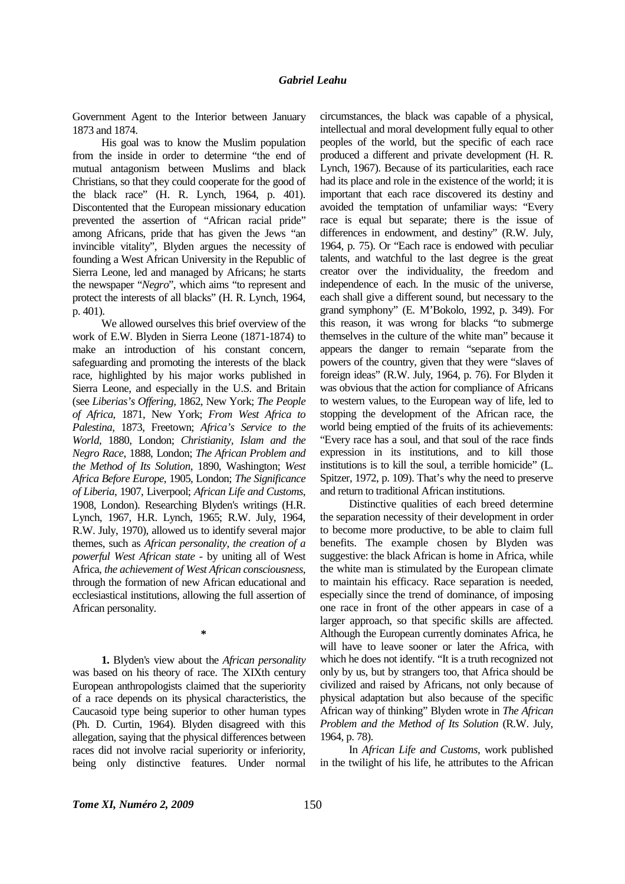Government Agent to the Interior between January 1873 and 1874.

His goal was to know the Muslim population from the inside in order to determine "the end of mutual antagonism between Muslims and black Christians, so that they could cooperate for the good of the black race" (H. R. Lynch, 1964, p. 401). Discontented that the European missionary education prevented the assertion of "African racial pride" among Africans, pride that has given the Jews "an invincible vitality", Blyden argues the necessity of founding a West African University in the Republic of Sierra Leone, led and managed by Africans; he starts the newspaper "*Negro*", which aims "to represent and protect the interests of all blacks" (H. R. Lynch, 1964, p. 401).

We allowed ourselves this brief overview of the work of E.W. Blyden in Sierra Leone (1871-1874) to make an introduction of his constant concern, safeguarding and promoting the interests of the black race, highlighted by his major works published in Sierra Leone, and especially in the U.S. and Britain (see *Liberias's Offering,* 1862, New York; *The People of Africa*, 1871, New York; *From West Africa to Palestina*, 1873, Freetown; *Africa's Service to the World*, 1880, London; *Christianity, Islam and the Negro Race*, 1888, London; *The African Problem and the Method of Its Solution*, 1890, Washington; *West Africa Before Europe*, 1905, London; *The Significance of Liberia*, 1907, Liverpool; *African Life and Customs*, 1908, London). Researching Blyden's writings (H.R. Lynch, 1967, H.R. Lynch, 1965; R.W. July, 1964, R.W. July, 1970), allowed us to identify several major themes, such as *African personality, the creation of a powerful West African state* - by uniting all of West Africa, *the achievement of West African consciousness*, through the formation of new African educational and ecclesiastical institutions, allowing the full assertion of African personality.

**1.** Blyden's view about the *African personality* was based on his theory of race. The XIXth century European anthropologists claimed that the superiority of a race depends on its physical characteristics, the Caucasoid type being superior to other human types (Ph. D. Curtin, 1964). Blyden disagreed with this allegation, saying that the physical differences between races did not involve racial superiority or inferiority, being only distinctive features. Under normal

**\*** 

circumstances, the black was capable of a physical, intellectual and moral development fully equal to other peoples of the world, but the specific of each race produced a different and private development (H. R. Lynch, 1967). Because of its particularities, each race had its place and role in the existence of the world; it is important that each race discovered its destiny and avoided the temptation of unfamiliar ways: "Every race is equal but separate; there is the issue of differences in endowment, and destiny" (R.W. July, 1964, p. 75). Or "Each race is endowed with peculiar talents, and watchful to the last degree is the great creator over the individuality, the freedom and independence of each. In the music of the universe, each shall give a different sound, but necessary to the grand symphony" (E. M'Bokolo, 1992, p. 349). For this reason, it was wrong for blacks "to submerge themselves in the culture of the white man" because it appears the danger to remain "separate from the powers of the country, given that they were "slaves of foreign ideas" (R.W. July, 1964, p. 76). For Blyden it was obvious that the action for compliance of Africans to western values, to the European way of life, led to stopping the development of the African race, the world being emptied of the fruits of its achievements: "Every race has a soul, and that soul of the race finds expression in its institutions, and to kill those institutions is to kill the soul, a terrible homicide" (L. Spitzer, 1972, p. 109). That's why the need to preserve and return to traditional African institutions.

Distinctive qualities of each breed determine the separation necessity of their development in order to become more productive, to be able to claim full benefits. The example chosen by Blyden was suggestive: the black African is home in Africa, while the white man is stimulated by the European climate to maintain his efficacy. Race separation is needed, especially since the trend of dominance, of imposing one race in front of the other appears in case of a larger approach, so that specific skills are affected. Although the European currently dominates Africa, he will have to leave sooner or later the Africa, with which he does not identify. "It is a truth recognized not only by us, but by strangers too, that Africa should be civilized and raised by Africans, not only because of physical adaptation but also because of the specific African way of thinking" Blyden wrote in *The African Problem and the Method of Its Solution* (R.W. July, 1964, p. 78).

In *African Life and Customs*, work published in the twilight of his life, he attributes to the African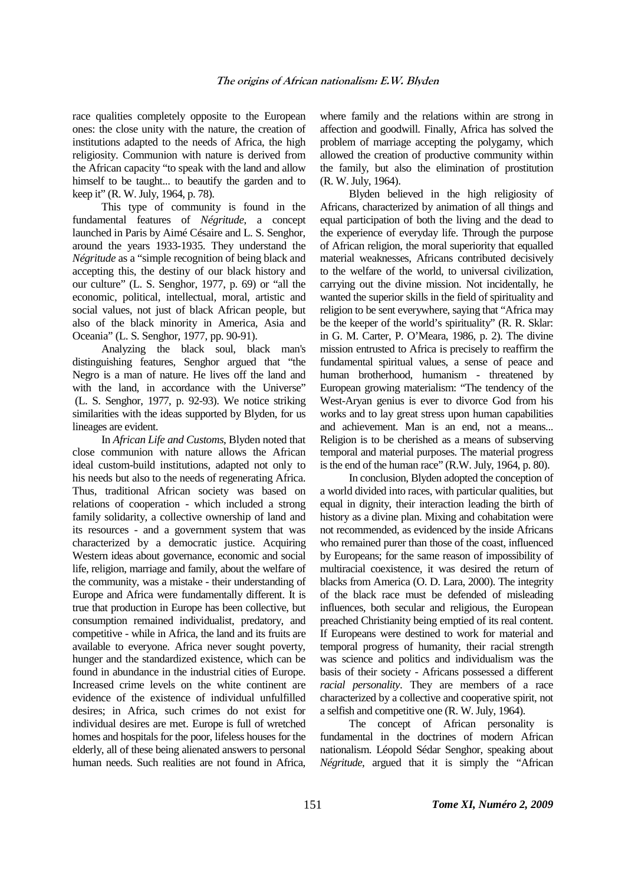race qualities completely opposite to the European ones: the close unity with the nature, the creation of institutions adapted to the needs of Africa, the high religiosity. Communion with nature is derived from the African capacity "to speak with the land and allow himself to be taught... to beautify the garden and to keep it" (R. W. July, 1964, p. 78).

This type of community is found in the fundamental features of *Négritude*, a concept launched in Paris by Aimé Césaire and L. S. Senghor, around the years 1933-1935. They understand the *Négritude* as a "simple recognition of being black and accepting this, the destiny of our black history and our culture" (L. S. Senghor, 1977, p. 69) or "all the economic, political, intellectual, moral, artistic and social values, not just of black African people, but also of the black minority in America, Asia and Oceania" (L. S. Senghor, 1977, pp. 90-91).

Analyzing the black soul, black man's distinguishing features, Senghor argued that "the Negro is a man of nature. He lives off the land and with the land, in accordance with the Universe" (L. S. Senghor, 1977, p. 92-93). We notice striking similarities with the ideas supported by Blyden, for us lineages are evident.

In *African Life and Customs*, Blyden noted that close communion with nature allows the African ideal custom-build institutions, adapted not only to his needs but also to the needs of regenerating Africa. Thus, traditional African society was based on relations of cooperation - which included a strong family solidarity, a collective ownership of land and its resources - and a government system that was characterized by a democratic justice. Acquiring Western ideas about governance, economic and social life, religion, marriage and family, about the welfare of the community, was a mistake - their understanding of Europe and Africa were fundamentally different. It is true that production in Europe has been collective, but consumption remained individualist, predatory, and competitive - while in Africa, the land and its fruits are available to everyone. Africa never sought poverty, hunger and the standardized existence, which can be found in abundance in the industrial cities of Europe. Increased crime levels on the white continent are evidence of the existence of individual unfulfilled desires; in Africa, such crimes do not exist for individual desires are met. Europe is full of wretched homes and hospitals for the poor, lifeless houses for the elderly, all of these being alienated answers to personal human needs. Such realities are not found in Africa,

where family and the relations within are strong in affection and goodwill. Finally, Africa has solved the problem of marriage accepting the polygamy, which allowed the creation of productive community within the family, but also the elimination of prostitution (R. W. July, 1964).

Blyden believed in the high religiosity of Africans, characterized by animation of all things and equal participation of both the living and the dead to the experience of everyday life. Through the purpose of African religion, the moral superiority that equalled material weaknesses, Africans contributed decisively to the welfare of the world, to universal civilization, carrying out the divine mission. Not incidentally, he wanted the superior skills in the field of spirituality and religion to be sent everywhere, saying that "Africa may be the keeper of the world's spirituality" (R. R. Sklar: in G. M. Carter, P. O'Meara, 1986, p. 2). The divine mission entrusted to Africa is precisely to reaffirm the fundamental spiritual values, a sense of peace and human brotherhood, humanism - threatened by European growing materialism: "The tendency of the West-Aryan genius is ever to divorce God from his works and to lay great stress upon human capabilities and achievement. Man is an end, not a means... Religion is to be cherished as a means of subserving temporal and material purposes. The material progress is the end of the human race" (R.W. July, 1964, p. 80).

In conclusion, Blyden adopted the conception of a world divided into races, with particular qualities, but equal in dignity, their interaction leading the birth of history as a divine plan. Mixing and cohabitation were not recommended, as evidenced by the inside Africans who remained purer than those of the coast, influenced by Europeans; for the same reason of impossibility of multiracial coexistence, it was desired the return of blacks from America (O. D. Lara, 2000). The integrity of the black race must be defended of misleading influences, both secular and religious, the European preached Christianity being emptied of its real content. If Europeans were destined to work for material and temporal progress of humanity, their racial strength was science and politics and individualism was the basis of their society - Africans possessed a different *racial personality*. They are members of a race characterized by a collective and cooperative spirit, not a selfish and competitive one (R. W. July, 1964).

The concept of African personality is fundamental in the doctrines of modern African nationalism. Léopold Sédar Senghor, speaking about *Négritude*, argued that it is simply the "African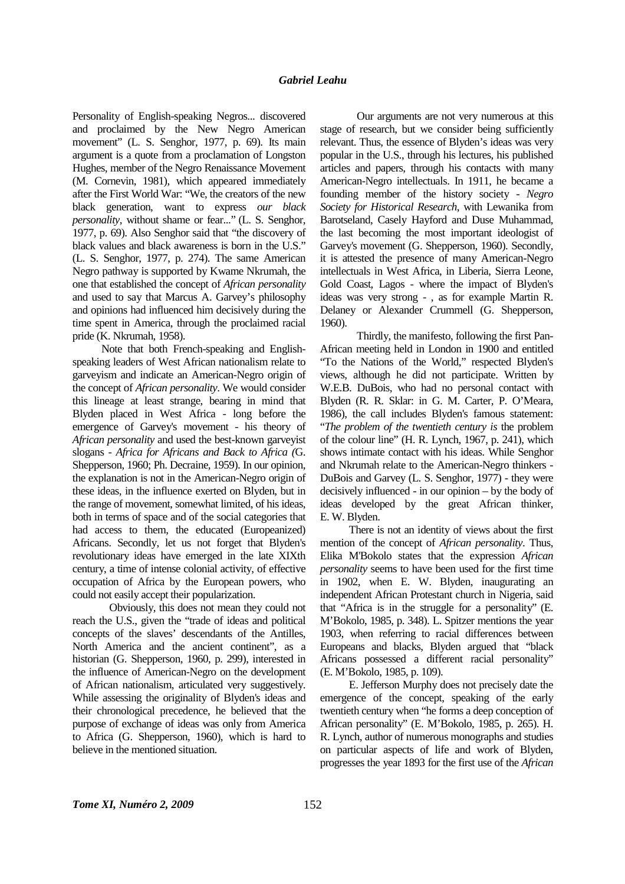Personality of English-speaking Negros... discovered and proclaimed by the New Negro American movement" (L. S. Senghor, 1977, p. 69). Its main argument is a quote from a proclamation of Longston Hughes, member of the Negro Renaissance Movement (M. Cornevin, 1981), which appeared immediately after the First World War: "We, the creators of the new black generation, want to express *our black personality*, without shame or fear..." (L. S. Senghor, 1977, p. 69). Also Senghor said that "the discovery of black values and black awareness is born in the U.S." (L. S. Senghor, 1977, p. 274). The same American Negro pathway is supported by Kwame Nkrumah, the one that established the concept of *African personality* and used to say that Marcus A. Garvey's philosophy and opinions had influenced him decisively during the time spent in America, through the proclaimed racial pride (K. Nkrumah, 1958).

Note that both French-speaking and Englishspeaking leaders of West African nationalism relate to garveyism and indicate an American-Negro origin of the concept of *African personality*. We would consider this lineage at least strange, bearing in mind that Blyden placed in West Africa - long before the emergence of Garvey's movement - his theory of *African personality* and used the best-known garveyist slogans - *Africa for Africans and Back to Africa (*G. Shepperson, 1960; Ph. Decraine, 1959). In our opinion, the explanation is not in the American-Negro origin of these ideas, in the influence exerted on Blyden, but in the range of movement, somewhat limited, of his ideas, both in terms of space and of the social categories that had access to them, the educated (Europeanized) Africans. Secondly, let us not forget that Blyden's revolutionary ideas have emerged in the late XIXth century, a time of intense colonial activity, of effective occupation of Africa by the European powers, who could not easily accept their popularization.

 Obviously, this does not mean they could not reach the U.S., given the "trade of ideas and political concepts of the slaves' descendants of the Antilles, North America and the ancient continent", as a historian (G. Shepperson, 1960, p. 299), interested in the influence of American-Negro on the development of African nationalism, articulated very suggestively. While assessing the originality of Blyden's ideas and their chronological precedence, he believed that the purpose of exchange of ideas was only from America to Africa (G. Shepperson, 1960), which is hard to believe in the mentioned situation.

 Our arguments are not very numerous at this stage of research, but we consider being sufficiently relevant. Thus, the essence of Blyden's ideas was very popular in the U.S., through his lectures, his published articles and papers, through his contacts with many American-Negro intellectuals. In 1911, he became a founding member of the history society - *Negro Society for Historical Research*, with Lewanika from Barotseland, Casely Hayford and Duse Muhammad, the last becoming the most important ideologist of Garvey's movement (G. Shepperson, 1960). Secondly, it is attested the presence of many American-Negro intellectuals in West Africa, in Liberia, Sierra Leone, Gold Coast, Lagos - where the impact of Blyden's ideas was very strong - , as for example Martin R. Delaney or Alexander Crummell (G. Shepperson, 1960).

 Thirdly, the manifesto, following the first Pan-African meeting held in London in 1900 and entitled "To the Nations of the World," respected Blyden's views, although he did not participate. Written by W.E.B. DuBois, who had no personal contact with Blyden (R. R. Sklar: in G. M. Carter, P. O'Meara, 1986), the call includes Blyden's famous statement: "*The problem of the twentieth century is* the problem of the colour line" (H. R. Lynch, 1967, p. 241), which shows intimate contact with his ideas. While Senghor and Nkrumah relate to the American-Negro thinkers - DuBois and Garvey (L. S. Senghor, 1977) - they were decisively influenced - in our opinion – by the body of ideas developed by the great African thinker, E. W. Blyden.

There is not an identity of views about the first mention of the concept of *African personality*. Thus, Elika M'Bokolo states that the expression *African personality* seems to have been used for the first time in 1902, when E. W. Blyden, inaugurating an independent African Protestant church in Nigeria, said that "Africa is in the struggle for a personality" (E. M'Bokolo, 1985, p. 348). L. Spitzer mentions the year 1903, when referring to racial differences between Europeans and blacks, Blyden argued that "black Africans possessed a different racial personality" (E. M'Bokolo, 1985, p. 109).

E. Jefferson Murphy does not precisely date the emergence of the concept, speaking of the early twentieth century when "he forms a deep conception of African personality" (E. M'Bokolo, 1985, p. 265). H. R. Lynch, author of numerous monographs and studies on particular aspects of life and work of Blyden, progresses the year 1893 for the first use of the *African*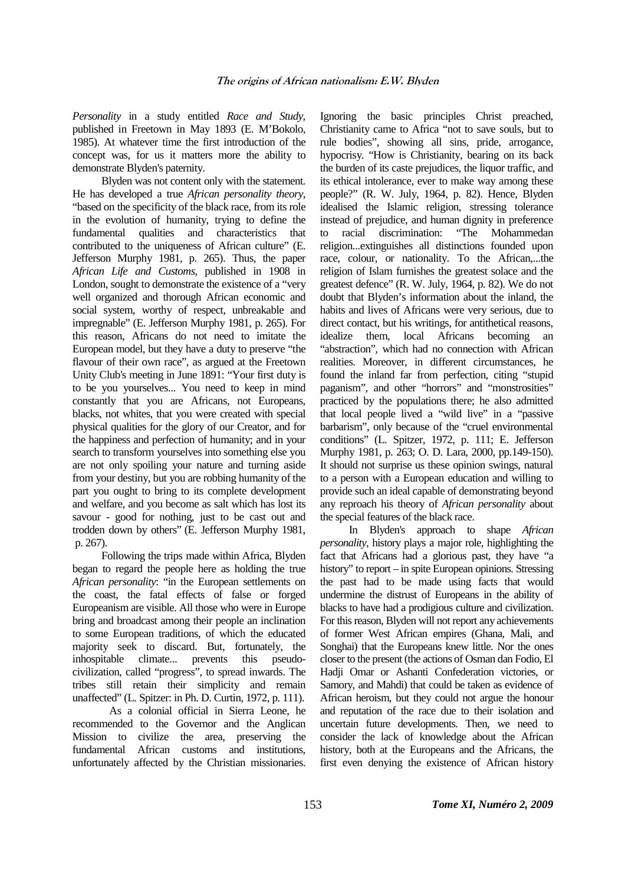*Personality* in a study entitled *Race and Study*, published in Freetown in May 1893 (E. M'Bokolo, 1985). At whatever time the first introduction of the concept was, for us it matters more the ability to demonstrate Blyden's paternity.

Blyden was not content only with the statement. He has developed a true *African personality theory*, "based on the specificity of the black race, from its role in the evolution of humanity, trying to define the fundamental qualities and characteristics that contributed to the uniqueness of African culture" (E. Jefferson Murphy 1981, p. 265). Thus, the paper *African Life and Customs*, published in 1908 in London, sought to demonstrate the existence of a "very well organized and thorough African economic and social system, worthy of respect, unbreakable and impregnable" (E. Jefferson Murphy 1981, p. 265). For this reason, Africans do not need to imitate the European model, but they have a duty to preserve "the flavour of their own race", as argued at the Freetown Unity Club's meeting in June 1891: "Your first duty is to be you yourselves... You need to keep in mind constantly that you are Africans, not Europeans, blacks, not whites, that you were created with special physical qualities for the glory of our Creator, and for the happiness and perfection of humanity; and in your search to transform yourselves into something else you are not only spoiling your nature and turning aside from your destiny, but you are robbing humanity of the part you ought to bring to its complete development and welfare, and you become as salt which has lost its savour - good for nothing, just to be cast out and trodden down by others" (E. Jefferson Murphy 1981, p. 267).

Following the trips made within Africa, Blyden began to regard the people here as holding the true *African personality*: "in the European settlements on the coast, the fatal effects of false or forged Europeanism are visible. All those who were in Europe bring and broadcast among their people an inclination to some European traditions, of which the educated majority seek to discard. But, fortunately, the inhospitable climate... prevents this pseudocivilization, called "progress", to spread inwards. The tribes still retain their simplicity and remain unaffected" (L. Spitzer: in Ph. D. Curtin, 1972, p. 111).

 As a colonial official in Sierra Leone, he recommended to the Governor and the Anglican Mission to civilize the area, preserving the fundamental African customs and institutions, unfortunately affected by the Christian missionaries.

Ignoring the basic principles Christ preached, Christianity came to Africa "not to save souls, but to rule bodies", showing all sins, pride, arrogance, hypocrisy. "How is Christianity, bearing on its back the burden of its caste prejudices, the liquor traffic, and its ethical intolerance, ever to make way among these people?" (R. W. July, 1964, p. 82). Hence, Blyden idealised the Islamic religion, stressing tolerance instead of prejudice, and human dignity in preference to racial discrimination: "The Mohammedan religion...extinguishes all distinctions founded upon race, colour, or nationality. To the African,...the religion of Islam furnishes the greatest solace and the greatest defence" (R. W. July, 1964, p. 82). We do not doubt that Blyden's information about the inland, the habits and lives of Africans were very serious, due to direct contact, but his writings, for antithetical reasons, idealize them, local Africans becoming an "abstraction", which had no connection with African realities. Moreover, in different circumstances, he found the inland far from perfection, citing "stupid paganism", and other "horrors" and "monstrosities" practiced by the populations there; he also admitted that local people lived a "wild live" in a "passive barbarism", only because of the "cruel environmental conditions" (L. Spitzer, 1972, p. 111; E. Jefferson Murphy 1981, p. 263; O. D. Lara, 2000, pp.149-150). It should not surprise us these opinion swings, natural to a person with a European education and willing to provide such an ideal capable of demonstrating beyond any reproach his theory of *African personality* about the special features of the black race.

In Blyden's approach to shape *African personality*, history plays a major role, highlighting the fact that Africans had a glorious past, they have "a history" to report – in spite European opinions. Stressing the past had to be made using facts that would undermine the distrust of Europeans in the ability of blacks to have had a prodigious culture and civilization. For this reason, Blyden will not report any achievements of former West African empires (Ghana, Mali, and Songhai) that the Europeans knew little. Nor the ones closer to the present (the actions of Osman dan Fodio, El Hadji Omar or Ashanti Confederation victories, or Samory, and Mahdi) that could be taken as evidence of African heroism, but they could not argue the honour and reputation of the race due to their isolation and uncertain future developments. Then, we need to consider the lack of knowledge about the African history, both at the Europeans and the Africans, the first even denying the existence of African history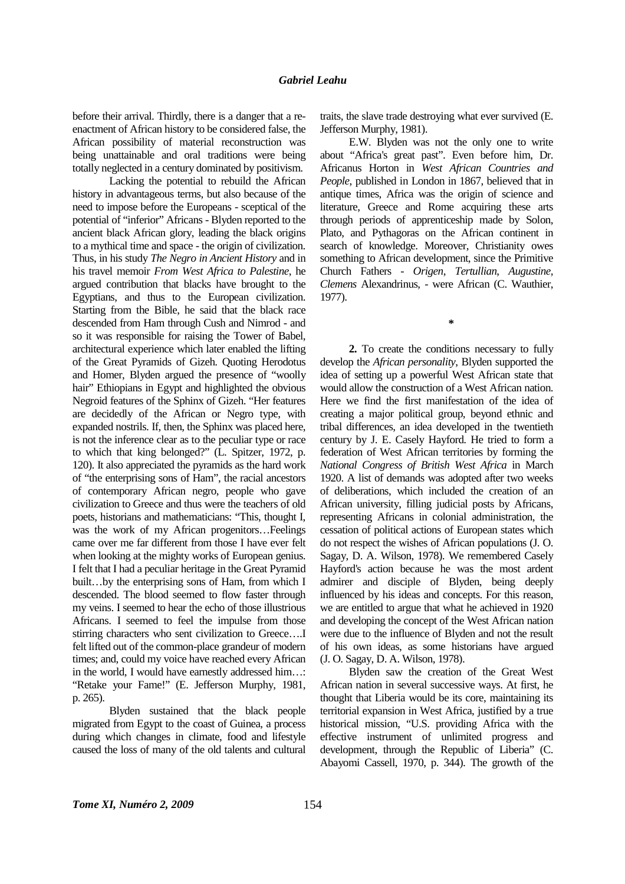before their arrival. Thirdly, there is a danger that a reenactment of African history to be considered false, the African possibility of material reconstruction was being unattainable and oral traditions were being totally neglected in a century dominated by positivism.

 Lacking the potential to rebuild the African history in advantageous terms, but also because of the need to impose before the Europeans - sceptical of the potential of "inferior" Africans - Blyden reported to the ancient black African glory, leading the black origins to a mythical time and space - the origin of civilization. Thus, in his study *The Negro in Ancient History* and in his travel memoir *From West Africa to Palestine*, he argued contribution that blacks have brought to the Egyptians, and thus to the European civilization. Starting from the Bible, he said that the black race descended from Ham through Cush and Nimrod - and so it was responsible for raising the Tower of Babel, architectural experience which later enabled the lifting of the Great Pyramids of Gizeh. Quoting Herodotus and Homer, Blyden argued the presence of "woolly hair" Ethiopians in Egypt and highlighted the obvious Negroid features of the Sphinx of Gizeh. "Her features are decidedly of the African or Negro type, with expanded nostrils. If, then, the Sphinx was placed here, is not the inference clear as to the peculiar type or race to which that king belonged?" (L. Spitzer, 1972, p. 120). It also appreciated the pyramids as the hard work of "the enterprising sons of Ham", the racial ancestors of contemporary African negro, people who gave civilization to Greece and thus were the teachers of old poets, historians and mathematicians: "This, thought I, was the work of my African progenitors…Feelings came over me far different from those I have ever felt when looking at the mighty works of European genius. I felt that I had a peculiar heritage in the Great Pyramid built…by the enterprising sons of Ham, from which I descended. The blood seemed to flow faster through my veins. I seemed to hear the echo of those illustrious Africans. I seemed to feel the impulse from those stirring characters who sent civilization to Greece….I felt lifted out of the common-place grandeur of modern times; and, could my voice have reached every African in the world, I would have earnestly addressed him…: "Retake your Fame!" (E. Jefferson Murphy, 1981, p. 265).

 Blyden sustained that the black people migrated from Egypt to the coast of Guinea, a process during which changes in climate, food and lifestyle caused the loss of many of the old talents and cultural

traits, the slave trade destroying what ever survived (E. Jefferson Murphy, 1981).

E.W. Blyden was not the only one to write about "Africa's great past". Even before him, Dr. Africanus Horton in *West African Countries and People*, published in London in 1867, believed that in antique times, Africa was the origin of science and literature, Greece and Rome acquiring these arts through periods of apprenticeship made by Solon, Plato, and Pythagoras on the African continent in search of knowledge. Moreover, Christianity owes something to African development, since the Primitive Church Fathers - *Origen*, *Tertullian*, *Augustine, Clemens* Alexandrinus, - were African (C. Wauthier, 1977).

**\*** 

**2.** To create the conditions necessary to fully develop the *African personality*, Blyden supported the idea of setting up a powerful West African state that would allow the construction of a West African nation. Here we find the first manifestation of the idea of creating a major political group, beyond ethnic and tribal differences, an idea developed in the twentieth century by J. E. Casely Hayford. He tried to form a federation of West African territories by forming the *National Congress of British West Africa* in March 1920. A list of demands was adopted after two weeks of deliberations, which included the creation of an African university, filling judicial posts by Africans, representing Africans in colonial administration, the cessation of political actions of European states which do not respect the wishes of African populations (J. O. Sagay, D. A. Wilson, 1978). We remembered Casely Hayford's action because he was the most ardent admirer and disciple of Blyden, being deeply influenced by his ideas and concepts. For this reason, we are entitled to argue that what he achieved in 1920 and developing the concept of the West African nation were due to the influence of Blyden and not the result of his own ideas, as some historians have argued (J. O. Sagay, D. A. Wilson, 1978).

Blyden saw the creation of the Great West African nation in several successive ways. At first, he thought that Liberia would be its core, maintaining its territorial expansion in West Africa, justified by a true historical mission, "U.S. providing Africa with the effective instrument of unlimited progress and development, through the Republic of Liberia" (C. Abayomi Cassell, 1970, p. 344). The growth of the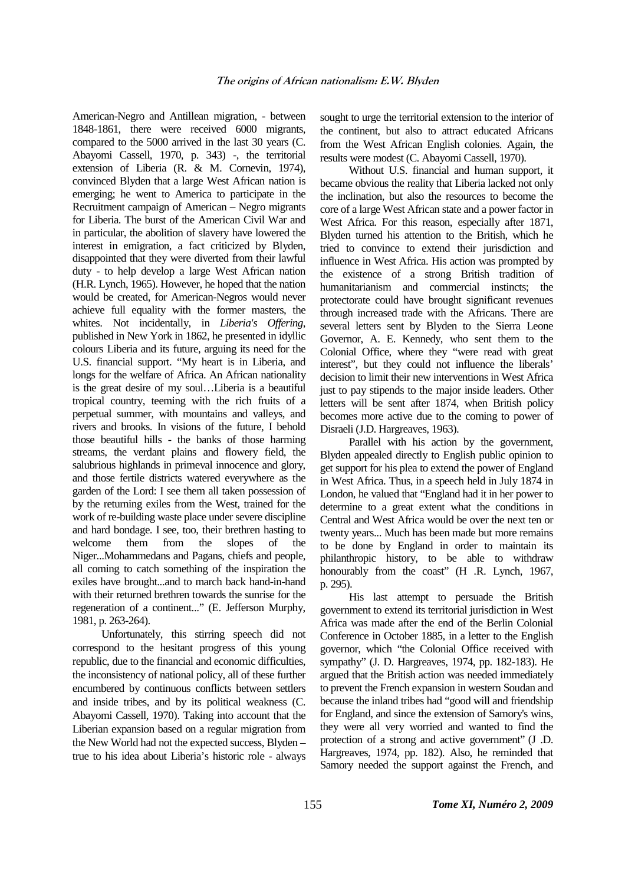American-Negro and Antillean migration, - between 1848-1861, there were received 6000 migrants, compared to the 5000 arrived in the last 30 years (C. Abayomi Cassell, 1970, p. 343) -, the territorial extension of Liberia (R. & M. Cornevin, 1974), convinced Blyden that a large West African nation is emerging; he went to America to participate in the Recruitment campaign of American – Negro migrants for Liberia. The burst of the American Civil War and in particular, the abolition of slavery have lowered the interest in emigration, a fact criticized by Blyden, disappointed that they were diverted from their lawful duty - to help develop a large West African nation (H.R. Lynch, 1965). However, he hoped that the nation would be created, for American-Negros would never achieve full equality with the former masters, the whites. Not incidentally, in *Liberia's Offering*, published in New York in 1862, he presented in idyllic colours Liberia and its future, arguing its need for the U.S. financial support. "My heart is in Liberia, and longs for the welfare of Africa. An African nationality is the great desire of my soul…Liberia is a beautiful tropical country, teeming with the rich fruits of a perpetual summer, with mountains and valleys, and rivers and brooks. In visions of the future, I behold those beautiful hills - the banks of those harming streams, the verdant plains and flowery field, the salubrious highlands in primeval innocence and glory, and those fertile districts watered everywhere as the garden of the Lord: I see them all taken possession of by the returning exiles from the West, trained for the work of re-building waste place under severe discipline and hard bondage. I see, too, their brethren hasting to welcome them from the slopes of the Niger...Mohammedans and Pagans, chiefs and people, all coming to catch something of the inspiration the exiles have brought...and to march back hand-in-hand with their returned brethren towards the sunrise for the regeneration of a continent..." (E. Jefferson Murphy, 1981, p. 263-264).

Unfortunately, this stirring speech did not correspond to the hesitant progress of this young republic, due to the financial and economic difficulties, the inconsistency of national policy, all of these further encumbered by continuous conflicts between settlers and inside tribes, and by its political weakness (C. Abayomi Cassell, 1970). Taking into account that the Liberian expansion based on a regular migration from the New World had not the expected success, Blyden – true to his idea about Liberia's historic role - always

sought to urge the territorial extension to the interior of the continent, but also to attract educated Africans from the West African English colonies. Again, the results were modest (C. Abayomi Cassell, 1970).

Without U.S. financial and human support, it became obvious the reality that Liberia lacked not only the inclination, but also the resources to become the core of a large West African state and a power factor in West Africa. For this reason, especially after 1871, Blyden turned his attention to the British, which he tried to convince to extend their jurisdiction and influence in West Africa. His action was prompted by the existence of a strong British tradition of humanitarianism and commercial instincts; the protectorate could have brought significant revenues through increased trade with the Africans. There are several letters sent by Blyden to the Sierra Leone Governor, A. E. Kennedy, who sent them to the Colonial Office, where they "were read with great interest", but they could not influence the liberals' decision to limit their new interventions in West Africa just to pay stipends to the major inside leaders. Other letters will be sent after 1874, when British policy becomes more active due to the coming to power of Disraeli (J.D. Hargreaves*,* 1963).

Parallel with his action by the government, Blyden appealed directly to English public opinion to get support for his plea to extend the power of England in West Africa. Thus, in a speech held in July 1874 in London, he valued that "England had it in her power to determine to a great extent what the conditions in Central and West Africa would be over the next ten or twenty years... Much has been made but more remains to be done by England in order to maintain its philanthropic history, to be able to withdraw honourably from the coast" (H .R. Lynch, 1967, p. 295).

His last attempt to persuade the British government to extend its territorial jurisdiction in West Africa was made after the end of the Berlin Colonial Conference in October 1885, in a letter to the English governor, which "the Colonial Office received with sympathy" (J. D. Hargreaves, 1974, pp. 182-183). He argued that the British action was needed immediately to prevent the French expansion in western Soudan and because the inland tribes had "good will and friendship for England, and since the extension of Samory's wins, they were all very worried and wanted to find the protection of a strong and active government" (J .D. Hargreaves, 1974, pp. 182). Also, he reminded that Samory needed the support against the French, and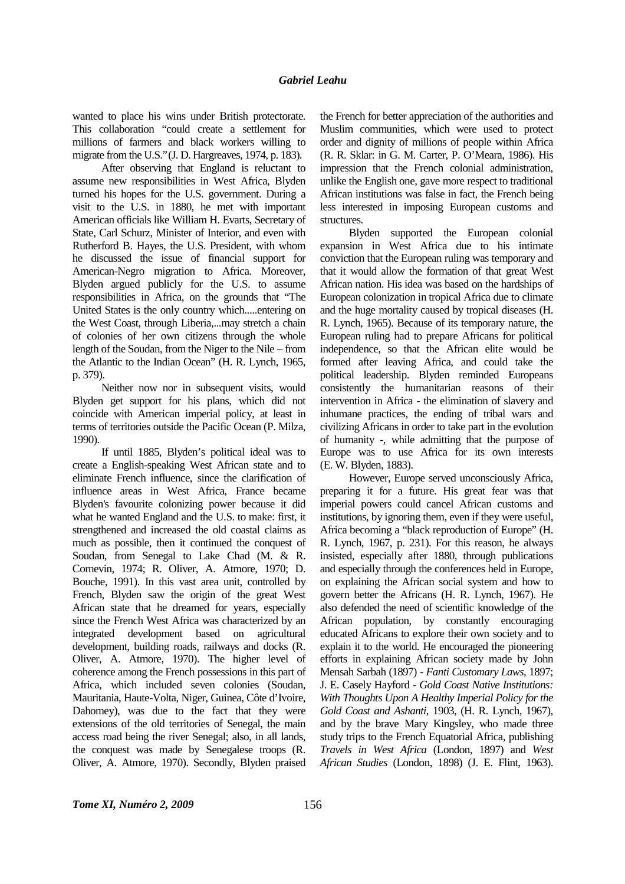wanted to place his wins under British protectorate. This collaboration "could create a settlement for millions of farmers and black workers willing to migrate from the U.S."(J. D. Hargreaves, 1974, p. 183).

After observing that England is reluctant to assume new responsibilities in West Africa, Blyden turned his hopes for the U.S. government. During a visit to the U.S. in 1880, he met with important American officials like William H. Evarts, Secretary of State, Carl Schurz, Minister of Interior, and even with Rutherford B. Hayes, the U.S. President, with whom he discussed the issue of financial support for American-Negro migration to Africa. Moreover, Blyden argued publicly for the U.S. to assume responsibilities in Africa, on the grounds that "The United States is the only country which.....entering on the West Coast, through Liberia,...may stretch a chain of colonies of her own citizens through the whole length of the Soudan, from the Niger to the Nile – from the Atlantic to the Indian Ocean" (H. R. Lynch, 1965, p. 379).

Neither now nor in subsequent visits, would Blyden get support for his plans, which did not coincide with American imperial policy, at least in terms of territories outside the Pacific Ocean (P. Milza, 1990).

If until 1885, Blyden's political ideal was to create a English-speaking West African state and to eliminate French influence, since the clarification of influence areas in West Africa, France became Blyden's favourite colonizing power because it did what he wanted England and the U.S. to make: first, it strengthened and increased the old coastal claims as much as possible, then it continued the conquest of Soudan, from Senegal to Lake Chad (M. & R. Cornevin, 1974; R. Oliver, A. Atmore, 1970; D. Bouche, 1991). In this vast area unit, controlled by French, Blyden saw the origin of the great West African state that he dreamed for years, especially since the French West Africa was characterized by an integrated development based on agricultural development, building roads, railways and docks (R. Oliver, A. Atmore, 1970). The higher level of coherence among the French possessions in this part of Africa, which included seven colonies (Soudan, Mauritania, Haute-Volta, Niger, Guinea, Côte d'Ivoire, Dahomey), was due to the fact that they were extensions of the old territories of Senegal, the main access road being the river Senegal; also, in all lands, the conquest was made by Senegalese troops (R. Oliver, A. Atmore, 1970). Secondly, Blyden praised

the French for better appreciation of the authorities and Muslim communities, which were used to protect order and dignity of millions of people within Africa (R. R. Sklar: in G. M. Carter, P. O'Meara, 1986). His impression that the French colonial administration, unlike the English one, gave more respect to traditional African institutions was false in fact, the French being less interested in imposing European customs and structures.

Blyden supported the European colonial expansion in West Africa due to his intimate conviction that the European ruling was temporary and that it would allow the formation of that great West African nation. His idea was based on the hardships of European colonization in tropical Africa due to climate and the huge mortality caused by tropical diseases (H. R. Lynch, 1965). Because of its temporary nature, the European ruling had to prepare Africans for political independence, so that the African elite would be formed after leaving Africa, and could take the political leadership. Blyden reminded Europeans consistently the humanitarian reasons of their intervention in Africa - the elimination of slavery and inhumane practices, the ending of tribal wars and civilizing Africans in order to take part in the evolution of humanity -, while admitting that the purpose of Europe was to use Africa for its own interests (E. W. Blyden, 1883).

However, Europe served unconsciously Africa, preparing it for a future. His great fear was that imperial powers could cancel African customs and institutions, by ignoring them, even if they were useful, Africa becoming a "black reproduction of Europe" (H. R. Lynch, 1967, p. 231). For this reason, he always insisted, especially after 1880, through publications and especially through the conferences held in Europe, on explaining the African social system and how to govern better the Africans (H. R. Lynch, 1967). He also defended the need of scientific knowledge of the African population, by constantly encouraging educated Africans to explore their own society and to explain it to the world. He encouraged the pioneering efforts in explaining African society made by John Mensah Sarbah (1897) - *Fanti Customary Laws*, 1897; J. E. Casely Hayford - *Gold Coast Native Institutions: With Thoughts Upon A Healthy Imperial Policy for the Gold Coast and Ashanti*, 1903, (H. R. Lynch, 1967), and by the brave Mary Kingsley, who made three study trips to the French Equatorial Africa, publishing *Travels in West Africa* (London, 1897) and *West African Studies* (London, 1898) (J. E. Flint, 1963).

*Tome XI, Numéro 2, 2009* 156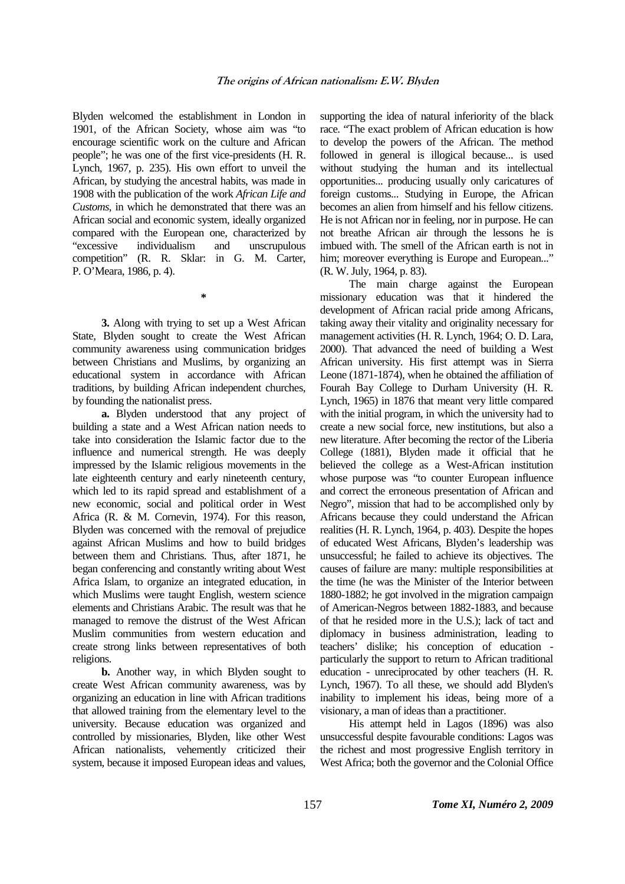Blyden welcomed the establishment in London in 1901, of the African Society, whose aim was "to encourage scientific work on the culture and African people"; he was one of the first vice-presidents (H. R. Lynch, 1967, p. 235). His own effort to unveil the African, by studying the ancestral habits, was made in 1908 with the publication of the work *African Life and Customs*, in which he demonstrated that there was an African social and economic system, ideally organized compared with the European one, characterized by "excessive individualism and unscrupulous competition" (R. R. Sklar: in G. M. Carter, P. O'Meara, 1986, p. 4).

**3.** Along with trying to set up a West African State, Blyden sought to create the West African community awareness using communication bridges between Christians and Muslims, by organizing an educational system in accordance with African traditions, by building African independent churches, by founding the nationalist press.

**\*** 

**a.** Blyden understood that any project of building a state and a West African nation needs to take into consideration the Islamic factor due to the influence and numerical strength. He was deeply impressed by the Islamic religious movements in the late eighteenth century and early nineteenth century, which led to its rapid spread and establishment of a new economic, social and political order in West Africa (R. & M. Cornevin, 1974). For this reason, Blyden was concerned with the removal of prejudice against African Muslims and how to build bridges between them and Christians. Thus, after 1871, he began conferencing and constantly writing about West Africa Islam, to organize an integrated education, in which Muslims were taught English, western science elements and Christians Arabic. The result was that he managed to remove the distrust of the West African Muslim communities from western education and create strong links between representatives of both religions.

**b.** Another way, in which Blyden sought to create West African community awareness, was by organizing an education in line with African traditions that allowed training from the elementary level to the university. Because education was organized and controlled by missionaries, Blyden, like other West African nationalists, vehemently criticized their system, because it imposed European ideas and values,

supporting the idea of natural inferiority of the black race. "The exact problem of African education is how to develop the powers of the African. The method followed in general is illogical because... is used without studying the human and its intellectual opportunities... producing usually only caricatures of foreign customs... Studying in Europe, the African becomes an alien from himself and his fellow citizens. He is not African nor in feeling, nor in purpose. He can not breathe African air through the lessons he is imbued with. The smell of the African earth is not in him; moreover everything is Europe and European..." (R. W. July, 1964, p. 83).

The main charge against the European missionary education was that it hindered the development of African racial pride among Africans, taking away their vitality and originality necessary for management activities (H. R. Lynch, 1964; O. D. Lara, 2000). That advanced the need of building a West African university. His first attempt was in Sierra Leone (1871-1874), when he obtained the affiliation of Fourah Bay College to Durham University (H. R. Lynch, 1965) in 1876 that meant very little compared with the initial program, in which the university had to create a new social force, new institutions, but also a new literature. After becoming the rector of the Liberia College (1881), Blyden made it official that he believed the college as a West-African institution whose purpose was "to counter European influence and correct the erroneous presentation of African and Negro", mission that had to be accomplished only by Africans because they could understand the African realities (H. R. Lynch, 1964, p. 403). Despite the hopes of educated West Africans, Blyden's leadership was unsuccessful; he failed to achieve its objectives. The causes of failure are many: multiple responsibilities at the time (he was the Minister of the Interior between 1880-1882; he got involved in the migration campaign of American-Negros between 1882-1883, and because of that he resided more in the U.S.); lack of tact and diplomacy in business administration, leading to teachers' dislike; his conception of education particularly the support to return to African traditional education - unreciprocated by other teachers (H. R. Lynch, 1967). To all these, we should add Blyden's inability to implement his ideas, being more of a visionary, a man of ideas than a practitioner.

His attempt held in Lagos (1896) was also unsuccessful despite favourable conditions: Lagos was the richest and most progressive English territory in West Africa; both the governor and the Colonial Office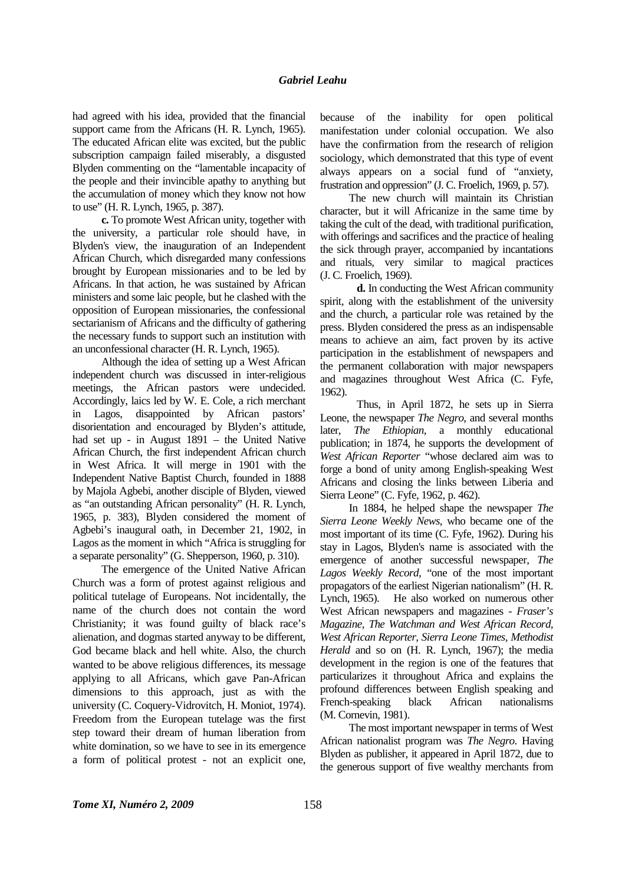had agreed with his idea, provided that the financial support came from the Africans (H. R. Lynch, 1965). The educated African elite was excited, but the public subscription campaign failed miserably, a disgusted Blyden commenting on the "lamentable incapacity of the people and their invincible apathy to anything but the accumulation of money which they know not how to use" (H. R. Lynch, 1965, p. 387).

**c.** To promote West African unity, together with the university, a particular role should have, in Blyden's view, the inauguration of an Independent African Church, which disregarded many confessions brought by European missionaries and to be led by Africans. In that action, he was sustained by African ministers and some laic people, but he clashed with the opposition of European missionaries, the confessional sectarianism of Africans and the difficulty of gathering the necessary funds to support such an institution with an unconfessional character (H. R. Lynch, 1965).

Although the idea of setting up a West African independent church was discussed in inter-religious meetings, the African pastors were undecided. Accordingly, laics led by W. E. Cole, a rich merchant in Lagos, disappointed by African pastors' disorientation and encouraged by Blyden's attitude, had set up - in August 1891 – the United Native African Church, the first independent African church in West Africa. It will merge in 1901 with the Independent Native Baptist Church, founded in 1888 by Majola Agbebi, another disciple of Blyden, viewed as "an outstanding African personality" (H. R. Lynch, 1965, p. 383), Blyden considered the moment of Agbebi's inaugural oath, in December 21, 1902, in Lagos as the moment in which "Africa is struggling for a separate personality" (G. Shepperson, 1960, p. 310).

The emergence of the United Native African Church was a form of protest against religious and political tutelage of Europeans. Not incidentally, the name of the church does not contain the word Christianity; it was found guilty of black race's alienation, and dogmas started anyway to be different, God became black and hell white. Also, the church wanted to be above religious differences, its message applying to all Africans, which gave Pan-African dimensions to this approach, just as with the university (C. Coquery-Vidrovitch, H. Moniot, 1974). Freedom from the European tutelage was the first step toward their dream of human liberation from white domination, so we have to see in its emergence a form of political protest - not an explicit one,

because of the inability for open political manifestation under colonial occupation. We also have the confirmation from the research of religion sociology, which demonstrated that this type of event always appears on a social fund of "anxiety, frustration and oppression" (J. C. Froelich, 1969, p. 57).

The new church will maintain its Christian character, but it will Africanize in the same time by taking the cult of the dead, with traditional purification, with offerings and sacrifices and the practice of healing the sick through prayer, accompanied by incantations and rituals, very similar to magical practices (J. C. Froelich, 1969).

**d.** In conducting the West African community spirit, along with the establishment of the university and the church, a particular role was retained by the press. Blyden considered the press as an indispensable means to achieve an aim, fact proven by its active participation in the establishment of newspapers and the permanent collaboration with major newspapers and magazines throughout West Africa (C. Fyfe, 1962).

 Thus, in April 1872, he sets up in Sierra Leone, the newspaper *The Negro*, and several months later, *The Ethiopian*, a monthly educational publication; in 1874, he supports the development of *West African Reporter* "whose declared aim was to forge a bond of unity among English-speaking West Africans and closing the links between Liberia and Sierra Leone" (C. Fyfe, 1962, p. 462).

In 1884, he helped shape the newspaper *The Sierra Leone Weekly News*, who became one of the most important of its time (C. Fyfe, 1962). During his stay in Lagos, Blyden's name is associated with the emergence of another successful newspaper, *The Lagos Weekly Record*, "one of the most important propagators of the earliest Nigerian nationalism" (H. R. Lynch, 1965). He also worked on numerous other West African newspapers and magazines - *Fraser's Magazine, The Watchman and West African Record, West African Reporter, Sierra Leone Times, Methodist Herald* and so on (H. R. Lynch, 1967); the media development in the region is one of the features that particularizes it throughout Africa and explains the profound differences between English speaking and French-speaking black African nationalisms (M. Cornevin, 1981).

The most important newspaper in terms of West African nationalist program was *The Negro*. Having Blyden as publisher, it appeared in April 1872, due to the generous support of five wealthy merchants from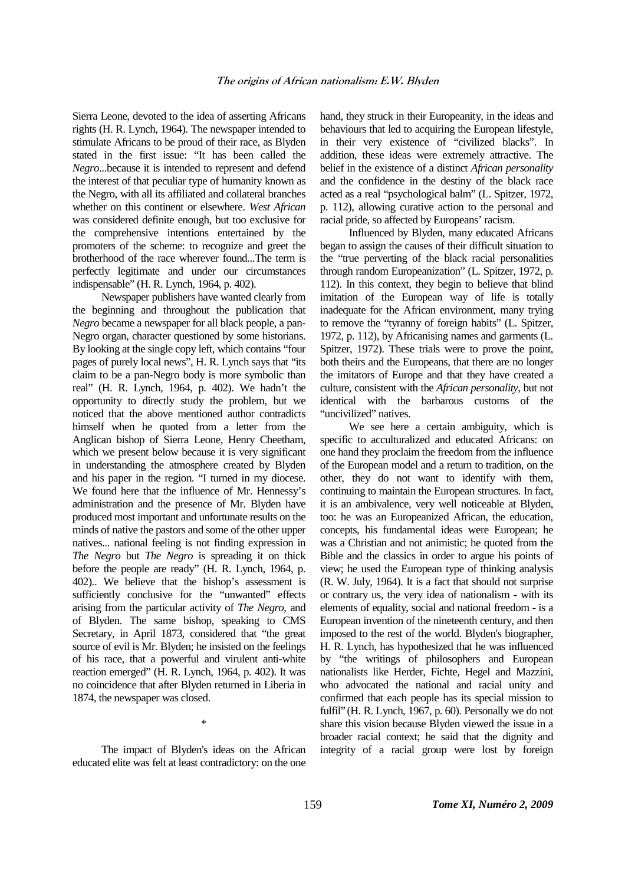Sierra Leone, devoted to the idea of asserting Africans rights (H. R. Lynch, 1964). The newspaper intended to stimulate Africans to be proud of their race, as Blyden stated in the first issue: "It has been called the *Negro*...because it is intended to represent and defend the interest of that peculiar type of humanity known as the Negro, with all its affiliated and collateral branches whether on this continent or elsewhere. *West African* was considered definite enough, but too exclusive for the comprehensive intentions entertained by the promoters of the scheme: to recognize and greet the brotherhood of the race wherever found...The term is perfectly legitimate and under our circumstances indispensable" (H. R. Lynch, 1964, p. 402).

Newspaper publishers have wanted clearly from the beginning and throughout the publication that *Negro* became a newspaper for all black people, a pan-Negro organ, character questioned by some historians. By looking at the single copy left, which contains "four pages of purely local news", H. R. Lynch says that "its claim to be a pan-Negro body is more symbolic than real" (H. R. Lynch, 1964, p. 402). We hadn't the opportunity to directly study the problem, but we noticed that the above mentioned author contradicts himself when he quoted from a letter from the Anglican bishop of Sierra Leone, Henry Cheetham, which we present below because it is very significant in understanding the atmosphere created by Blyden and his paper in the region. "I turned in my diocese. We found here that the influence of Mr. Hennessy's administration and the presence of Mr. Blyden have produced most important and unfortunate results on the minds of native the pastors and some of the other upper natives... national feeling is not finding expression in *The Negro* but *The Negro* is spreading it on thick before the people are ready" (H. R. Lynch, 1964, p. 402).. We believe that the bishop's assessment is sufficiently conclusive for the "unwanted" effects arising from the particular activity of *The Negro*, and of Blyden. The same bishop, speaking to CMS Secretary, in April 1873, considered that "the great source of evil is Mr. Blyden; he insisted on the feelings of his race, that a powerful and virulent anti-white reaction emerged" (H. R. Lynch, 1964, p. 402). It was no coincidence that after Blyden returned in Liberia in 1874, the newspaper was closed.

The impact of Blyden's ideas on the African educated elite was felt at least contradictory: on the one

\*

hand, they struck in their Europeanity, in the ideas and behaviours that led to acquiring the European lifestyle, in their very existence of "civilized blacks". In addition, these ideas were extremely attractive. The belief in the existence of a distinct *African personality* and the confidence in the destiny of the black race acted as a real "psychological balm" (L. Spitzer, 1972, p. 112), allowing curative action to the personal and racial pride, so affected by Europeans' racism.

Influenced by Blyden, many educated Africans began to assign the causes of their difficult situation to the "true perverting of the black racial personalities through random Europeanization" (L. Spitzer, 1972, p. 112). In this context, they begin to believe that blind imitation of the European way of life is totally inadequate for the African environment, many trying to remove the "tyranny of foreign habits" (L. Spitzer, 1972, p. 112), by Africanising names and garments (L. Spitzer, 1972). These trials were to prove the point, both theirs and the Europeans, that there are no longer the imitators of Europe and that they have created a culture, consistent with the *African personality*, but not identical with the barbarous customs of the "uncivilized" natives.

We see here a certain ambiguity, which is specific to acculturalized and educated Africans: on one hand they proclaim the freedom from the influence of the European model and a return to tradition, on the other, they do not want to identify with them, continuing to maintain the European structures. In fact, it is an ambivalence, very well noticeable at Blyden, too: he was an Europeanized African, the education, concepts, his fundamental ideas were European; he was a Christian and not animistic; he quoted from the Bible and the classics in order to argue his points of view; he used the European type of thinking analysis (R. W. July, 1964). It is a fact that should not surprise or contrary us, the very idea of nationalism - with its elements of equality, social and national freedom - is a European invention of the nineteenth century, and then imposed to the rest of the world. Blyden's biographer, H. R. Lynch, has hypothesized that he was influenced by "the writings of philosophers and European nationalists like Herder, Fichte, Hegel and Mazzini, who advocated the national and racial unity and confirmed that each people has its special mission to fulfil" (H. R. Lynch, 1967, p. 60). Personally we do not share this vision because Blyden viewed the issue in a broader racial context; he said that the dignity and integrity of a racial group were lost by foreign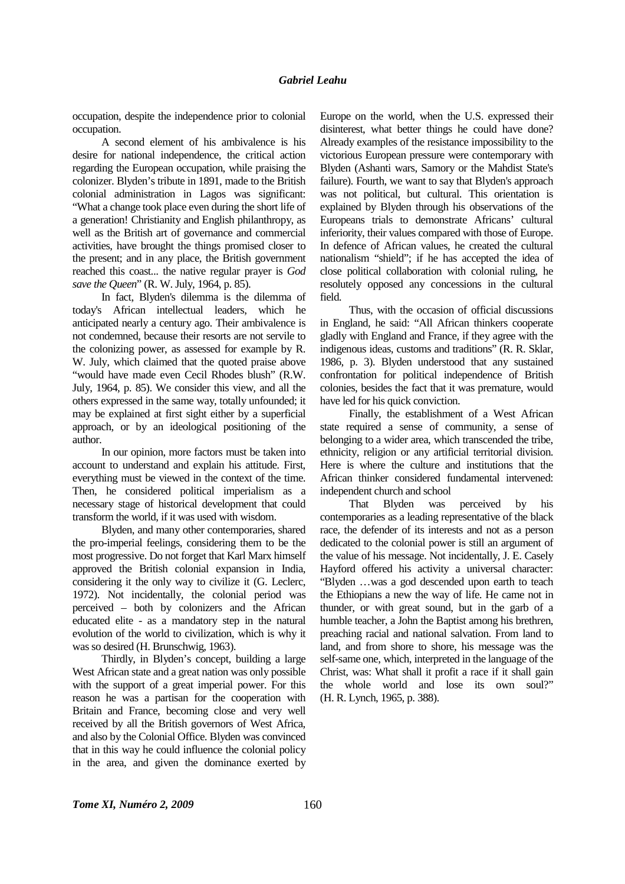occupation, despite the independence prior to colonial occupation.

A second element of his ambivalence is his desire for national independence, the critical action regarding the European occupation, while praising the colonizer. Blyden's tribute in 1891, made to the British colonial administration in Lagos was significant: "What a change took place even during the short life of a generation! Christianity and English philanthropy, as well as the British art of governance and commercial activities, have brought the things promised closer to the present; and in any place, the British government reached this coast... the native regular prayer is *God save the Queen*" (R. W. July, 1964, p. 85).

In fact, Blyden's dilemma is the dilemma of today's African intellectual leaders, which he anticipated nearly a century ago. Their ambivalence is not condemned, because their resorts are not servile to the colonizing power, as assessed for example by R. W. July, which claimed that the quoted praise above "would have made even Cecil Rhodes blush" (R.W. July, 1964, p. 85). We consider this view, and all the others expressed in the same way, totally unfounded; it may be explained at first sight either by a superficial approach, or by an ideological positioning of the author.

In our opinion, more factors must be taken into account to understand and explain his attitude. First, everything must be viewed in the context of the time. Then, he considered political imperialism as a necessary stage of historical development that could transform the world, if it was used with wisdom.

Blyden, and many other contemporaries, shared the pro-imperial feelings, considering them to be the most progressive. Do not forget that Karl Marx himself approved the British colonial expansion in India, considering it the only way to civilize it (G. Leclerc, 1972). Not incidentally, the colonial period was perceived – both by colonizers and the African educated elite - as a mandatory step in the natural evolution of the world to civilization, which is why it was so desired (H. Brunschwig, 1963).

Thirdly, in Blyden's concept, building a large West African state and a great nation was only possible with the support of a great imperial power. For this reason he was a partisan for the cooperation with Britain and France, becoming close and very well received by all the British governors of West Africa, and also by the Colonial Office. Blyden was convinced that in this way he could influence the colonial policy in the area, and given the dominance exerted by Europe on the world, when the U.S. expressed their disinterest, what better things he could have done? Already examples of the resistance impossibility to the victorious European pressure were contemporary with Blyden (Ashanti wars, Samory or the Mahdist State's failure). Fourth, we want to say that Blyden's approach was not political, but cultural. This orientation is explained by Blyden through his observations of the Europeans trials to demonstrate Africans' cultural inferiority, their values compared with those of Europe. In defence of African values, he created the cultural nationalism "shield"; if he has accepted the idea of close political collaboration with colonial ruling, he resolutely opposed any concessions in the cultural field.

Thus, with the occasion of official discussions in England, he said: "All African thinkers cooperate gladly with England and France, if they agree with the indigenous ideas, customs and traditions" (R. R. Sklar, 1986, p. 3). Blyden understood that any sustained confrontation for political independence of British colonies, besides the fact that it was premature, would have led for his quick conviction.

Finally, the establishment of a West African state required a sense of community, a sense of belonging to a wider area, which transcended the tribe, ethnicity, religion or any artificial territorial division. Here is where the culture and institutions that the African thinker considered fundamental intervened: independent church and school

That Blyden was perceived by his contemporaries as a leading representative of the black race, the defender of its interests and not as a person dedicated to the colonial power is still an argument of the value of his message. Not incidentally, J. E. Casely Hayford offered his activity a universal character: "Blyden …was a god descended upon earth to teach the Ethiopians a new the way of life. He came not in thunder, or with great sound, but in the garb of a humble teacher, a John the Baptist among his brethren, preaching racial and national salvation. From land to land, and from shore to shore, his message was the self-same one, which, interpreted in the language of the Christ, was: What shall it profit a race if it shall gain the whole world and lose its own soul?" (H. R. Lynch, 1965, p. 388).